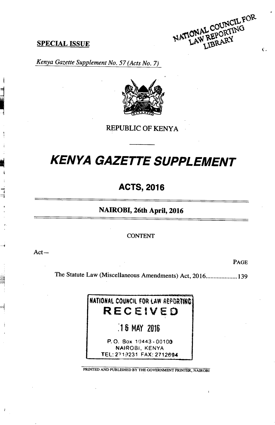

*Kenya* Gazette *Supplement No. 57 (Acts No. 7)* 



REPUBLIC OF KENYA

# **KENYA GAZETTE SUPPLEMENT**

## **ACTS, 2016**

**NAIROBI, 26th April, 2016** 

CONTENT

 $Act -$ 

PAGE

The Statute Law (Miscellaneous Amendments) Act, 2016....................139

**NATIONAL COUNCIL FOR LAW REPORTING RECEIVED**  :is MAY 201 P.O. Box 10443-00100 NAIROBI, KENYA TEL: 2719231 FAX: 2712694

**PRINTED** AND **PUBLISHED BY** THE GOVERNMENT **PRINTER, NAIROBI**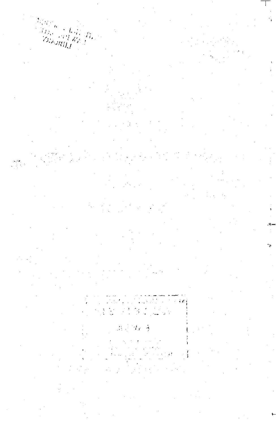

 $\sim k$  d  $\frac{1}{2}$ 

### $\frac{1}{2}$  $\mathcal{H}_{\mathcal{F}}$  $\mathcal{A}_{\mathcal{S}}$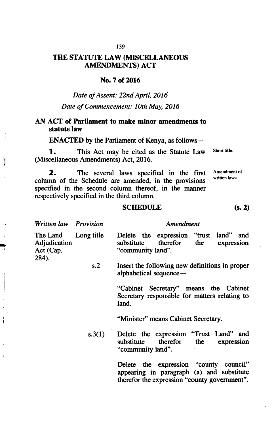### **THE STATUTE LAW (MISCELLANEOUS AMENDMENTS) ACT**

### **No.** 7 **of 2016**

### *Date of Assent. 22nd April, 2016*

*Date of Commencement: 10th May, 2016* 

### **AN ACT of Parliament to make minor amendments to statute law**

**ENACTED** by the Parliament of Kenya, as follows-

This Act may be cited as the Statute Law Short title. 1. (Miscellaneous Amendments) Act, 2016.

The several laws specified in the first **Amendment of**  2. column of the Schedule are amended, in the provisions specified in the second column thereof, in the manner respectively specified in the third column.

### **SCHEDULE (s.2)**

*Written law Provision Amendment* 

| The Land Long title<br>Adjudication | substitute        | Delete the expression "trust land"<br>therefor | the | and<br>expression |
|-------------------------------------|-------------------|------------------------------------------------|-----|-------------------|
| Act (Cap.<br>$284$ ).               | "community land". |                                                |     |                   |

s.2 Insert the following new definitions in proper alphabetical sequence -

> "Cabinet Secretary" means the Cabinet Secretary responsible for matters relating to land.

"Minister" means Cabinet Secretary.

s.3(1) Delete the expression "Trust Land" and<br>substitute therefor the expression expression "community land".

> Delete the expression "county council" appearing in paragraph (a) and substitute therefor the expression "county government".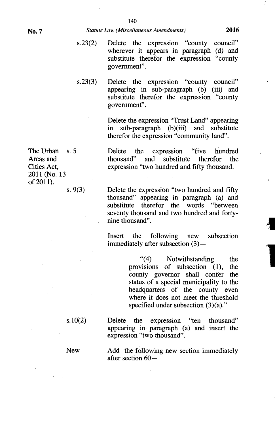s.23(2) Delete the expression "county council" wherever it appears in paragraph (d) and substitute therefor the expression "county government".

s.23(3) Delete the expression "county council" appearing in sub-paragraph (b) (iii) and substitute therefor the expression "county" government".

> Delete the expression "Trust Land" appearing in sub-paragraph (b)(iii) and substitute therefor the expression "community land".

The Urban s. 5 **Delete** the expression "five hundred Areas and thousand" and substitute therefor the Cities Act, expression "two hundred and fifty thousand.

> s.9(3) Delete the expression "two hundred and fifty thousand" appearing in paragraph (a) and substitute therefor the words "between seventy thousand and two hundred and fortynine thousand".

> > Insert the following new subsection immediately after subsection  $(3)$ —

> > > "(4) Notwithstanding the provisions of subsection (1), the county governor shall confer the status of a special municipality to the headquarters of the county even where it does not meet the threshold specified under subsection (3)(a)."

s.10(2) Delete the expression "ten thousand" appearing in paragraph (a) and insert the expression "two thousand".

New Add the following new section immediately after section  $60-$ 

2011 (No. 13 of 2011).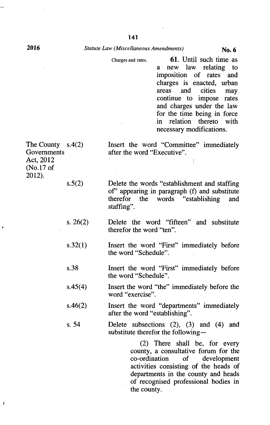$\epsilon$ 

*2016 Statute Law (Miscellaneous Amendments)* **No. 6** 

Charges and rates. **61.** Until such time as a new law relating to imposition of rates and charges is enacted, urban<br>areas and cities may areas and cities may continue to impose rates and charges under the law for the time being in force in relation thereto with necessary modifications.

of recognised professional bodies in

| The County $s.4(2)$<br>Governments<br>Act, 2012<br>(No.17 of<br>2012). |            | Insert the word "Committee" immediately<br>after the word "Executive".                                                                                                                   |
|------------------------------------------------------------------------|------------|------------------------------------------------------------------------------------------------------------------------------------------------------------------------------------------|
|                                                                        | s.5(2)     | Delete the words "establishment and staffing<br>of" appearing in paragraph (f) and substitute<br>therefor the words "establishing<br>and<br>staffing".                                   |
|                                                                        | s. $26(2)$ | Delete the word "fifteen" and substitute<br>therefor the word "ten".                                                                                                                     |
|                                                                        | s.32(1)    | Insert the word "First" immediately before<br>the word "Schedule".                                                                                                                       |
|                                                                        | s.38       | Insert the word "First" immediately before<br>the word "Schedule".                                                                                                                       |
|                                                                        | s.45(4)    | Insert the word "the" immediately before the<br>word "exercise".                                                                                                                         |
|                                                                        | s.46(2)    | Insert the word "departments" immediately<br>after the word "establishing".                                                                                                              |
|                                                                        | s.54       | Delete subsections (2), (3) and (4) and<br>substitute therefor the following-                                                                                                            |
|                                                                        |            | (2) There shall be, for every<br>county, a consultative forum for the<br>co-ordination of<br>development<br>activities consisting of the heads of<br>departments in the county and heads |

the county.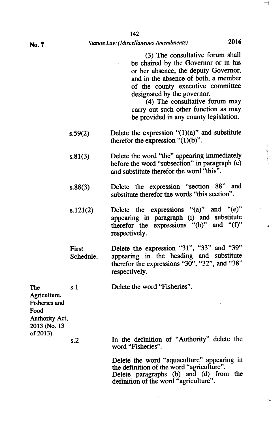(3) The consultative forum shall be chaired by the Governor or in his or her absence, the deputy Governor, and in the absence of both, a member of the county executive committee designated by the governor.

The consultative forum may carry out such other function as may be provided in any county legislation.

### *s.59(2)* Delete the expression "(1)(a)" and substitute therefor the expression " $(1)(b)$ ".

- s.81(3) Delete the word "the" appearing immediately before the word "subsection" in paragraph (c) and substitute therefor the word "this".
- s.88(3) Delete the expression "section 88" and substitute therefor the words "this section".
- s.121(2) Delete the expressions " $(a)$ " and " $(e)$ " appearing in paragraph (i) and substitute therefor the expressions "(b)" and "(f)" respectively.

First Delete the expression "31", "33" and "39"<br>Schedule. appearing in the heading and substitute  $\frac{1}{2}$  appearing in the heading and substitute therefor the expressions "30", "32", and "38" respectively.

Delete the word "Fisheries".

The s.1 Agriculture, Fisheries and Food Authority Act, 2013 (No. 13 of 2013). s.2

In the definition of "Authority" delete the word "Fisheries".

Delete the word "aquaculture" appearing in the definition of the word "agriculture". Delete paragraphs (b) and (d) from the definition of the word "agriculture".

 $\rightarrow$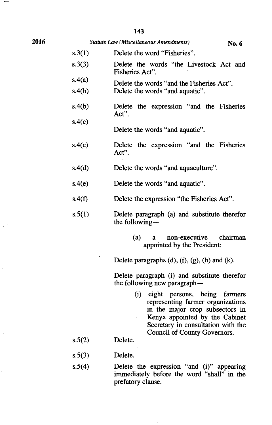- s.3(1) Delete the word "Fisheries".
- s.3(3) Delete the words "the Livestock Act and Fisheries Act".
- s.4(a) Delete the words "and the Fisheries Act".
- s.4(b) Delete the words "and aquatic".
- s.4(b) Delete the expression "and the Fisheries Act".
	- Delete the words "and aquatic".
- s.4(c) Delete the expression "and the Fisheries Act".
- s.4(d) Delete the words "and aquaculture".
- s.4(e) Delete the words "and aquatic".
- s.4(f) Delete the expression "the Fisheries Act".
- s.5(1) Delete paragraph (a) and substitute therefor the following—
	- (a) a non-executive chairman appointed by the President;

Delete paragraphs  $(d)$ ,  $(f)$ ,  $(g)$ ,  $(h)$  and  $(k)$ .

Delete paragraph (i) and substitute therefor the following new paragraph—

- (i) eight persons, being farmers representing farmer organizations in the major crop subsectors in Kenya appointed by the Cabinet Secretary in consultation with the Council of County Governors.
- *s.5(2)* Delete.
- *s.5(3)* Delete.
- *s.5(4)* Delete the expression "and (i)" appearing immediately before the word "shall" in the prefatory clause.

s.4(c)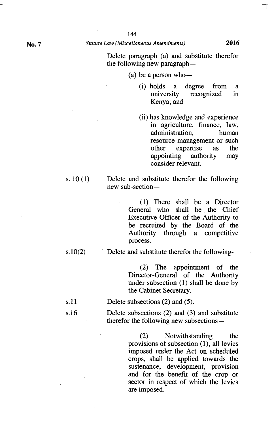Delete paragraph (a) and substitute therefor the following new paragraph $-$ 

(a) be a person who-

- (i) holds a degree from a<br>university recognized in recognized Kenya; and
- has knowledge and experience in agriculture, finance, law, administration, human resource management or such other expertise as the appointing authority may consider relevant.
- *S.* 10(l) Delete and substitute therefor the following new sub-section-

 $(1)$  There shall be a Director General who shall be the Chief Executive Officer of the Authority to be recruited by the Board of the<br>Authority through a competitive a competitive process.

s.10(2) **I** Delete and substitute therefor the following-

 $(2)$ The appointment of the Director-General of the Authority under subsection (1) shall be done by the Cabinet Secretary.

- S.11 Delete subsections (2) and *(5).* 
	-

s.16 Delete subsections (2) and (3) and substitute therefor the following new subsections—

> (2) Notwithstanding the provisions of subsection (1), all levies imposed under the Act on scheduled crops, shall be applied towards the sustenance, development, provision and for the benefit of the crop or sector in respect of which the levies are imposed.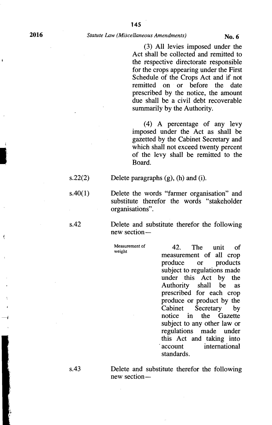All levies imposed under the Act shall be collected and remitted to the respective directorate responsible for the crops appearing under the First Schedule of the Crops Act and if not remitted on or before the date prescribed by the notice, the amount due shall be a civil debt recoverable summarily by the Authority.

A percentage of any levy imposed under the Act as shall be gazetted by the Cabinet Secretary and which shall not exceed twenty percent of the levy shall be remitted to the Board.

s.22 $(2)$  Delete paragraphs  $(g)$ ,  $(h)$  and  $(i)$ .

s.40(1) Delete the words "farmer organisation" and substitute therefor the words "stakeholder organisations".

s.42 Delete and substitute therefor the following  $new section -$ 

> Measurement of 42. The unit of weight measurement of all crop produce or products subject to regulations made under this Act by the Authority shall be as prescribed for each crop produce or product by the Cabinet Secretary by<br>notice in the Gazette in the Gazette subject to any other law or regulations made under this Act and taking into account international standards.

s.43 Delete and substitute therefor the following new section-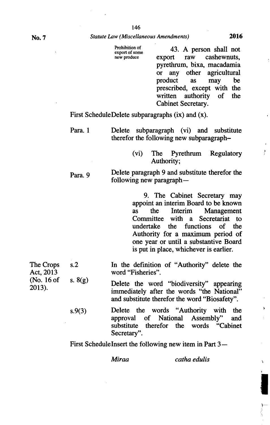146

Prohibition of<br>export of some<br>new produce<br>export raw cashewnuts, cashewnuts, pyrethrum, bixa, macadamia or any other agricultural product as may be prescribed, except with the written authority of the Cabinet Secretary.

First Schedule Delete subparagraphs (ix) and (x).

- Para. 1 Delete subparagraph (vi) and substitute therefor the following new subparagraph—
	- (vi) The Pyrethrum Regulatory Authority;

### Para 9 Delete paragraph 9 and substitute therefor the following new paragraph-

9. The Cabinet Secretary may appoint an interim Board to be known as the Interim Management<br>Committee with a Secretariat to Committee with a undertake the functions of the Authority for a maximum period of one year or until a substantive Board is put in place, whichever is earlier.

- The Crops s.2 In the definition of "Authority" delete the Act, 2013 word "Fisheries". word "Fisheries".
- (No. 16 of  $2013$ . s.  $8(g)$  Delete the word "biodiversity" appearing immediately after the words "the National" and substitute therefor the word "Biosafety".
	- s.9(3) Delete the words "Authority with the approval of National Assembly" and substitute therefor the words "Cabinet Secretary".

First Schedule Insert the following new item in Part 3-

*Miraa cat/ia edulis* 

ri

 $\lambda$ 

 $\frac{1}{2}$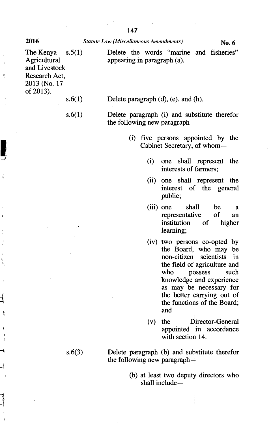**2016** *Statute Law (Miscellaneous Amendments)* **No. 6** 

The Kenya s.5(1) Delete the words "marine and fisheries" Agricultural appearing in paragraph (a). and Livestock Research Act, 2013 (No. 17 of 2013).

s.  $6(1)$  Delete paragraph (d), (e), and (h).

s.6(1) Delete paragraph (i) and substitute therefor the following new paragraph—

- (i) five persons appointed by the Cabinet Secretary, of whom-
	- $(i)$ one shall represent the interests of farmers;
	- (ii) one shall represent the interest of the general public;
	- (iii) one shall be a representative of an institution of higher learning;
	- (iv) two persons co-opted by the Board, who may be non-citizen scientists in the field of agriculture and who possess such knowledge and experience as may be necessary for the better carrying out of the functions of the Board; and
	- the Director-General  $(v)$ appointed in accordance with section 14.

s.6(3) Delete paragraph (b) and substitute therefor the following new paragraph $-$ 

> (b) at least two deputy directors who shall include $-$